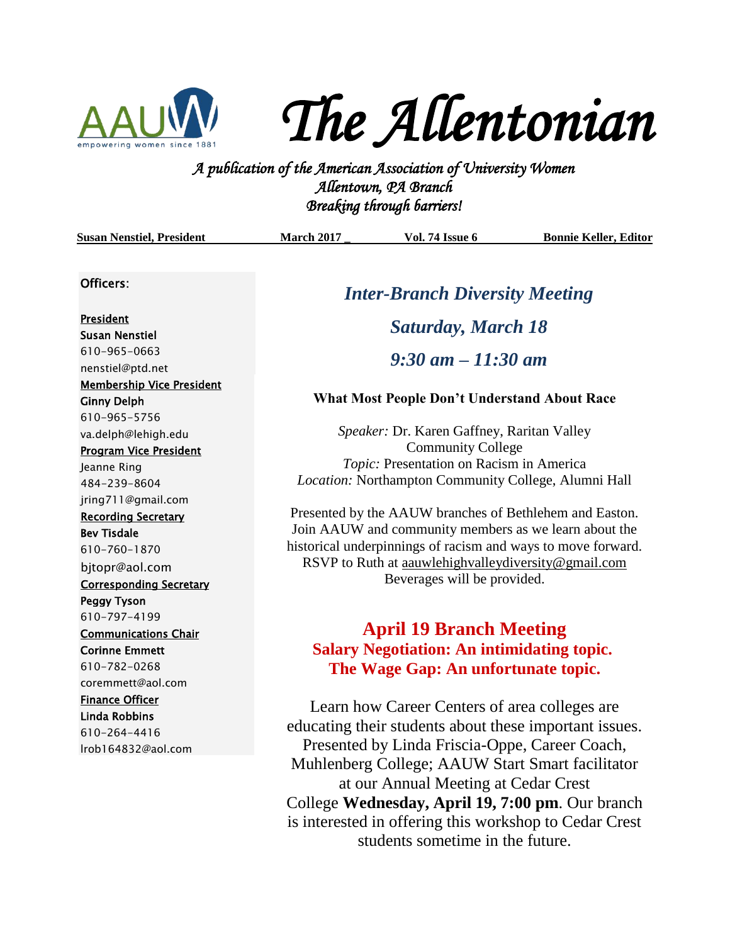

*The Allentonian* 

**A PUC FLUC FLUC FUNITY**<br>*A publication of the American Association of University Women*<br><sup>2</sup> *A publication of the American Association of University Women Allentown, PA Branch Breaking through barriers!* 

| <b>Susan Nenstiel, President</b>                                                                                                           | <b>March 2017</b>                                                                                                        | <b>Vol. 74 Issue 6</b>                                                                                                                                                                                                                                                 | <b>Bonnie Keller, Editor</b> |
|--------------------------------------------------------------------------------------------------------------------------------------------|--------------------------------------------------------------------------------------------------------------------------|------------------------------------------------------------------------------------------------------------------------------------------------------------------------------------------------------------------------------------------------------------------------|------------------------------|
| Officers:                                                                                                                                  | <b>Inter-Branch Diversity Meeting</b>                                                                                    |                                                                                                                                                                                                                                                                        |                              |
| President<br><b>Susan Nenstiel</b><br>610-965-0663<br>nenstiel@ptd.net<br><b>Membership Vice President</b><br><b>Ginny Delph</b>           | <b>Saturday, March 18</b><br>$9:30 \text{ am} - 11:30 \text{ am}$<br><b>What Most People Don't Understand About Race</b> |                                                                                                                                                                                                                                                                        |                              |
| 610-965-5756<br>va.delph@lehigh.edu<br><b>Program Vice President</b><br>Jeanne Ring<br>484-239-8604                                        |                                                                                                                          | Speaker: Dr. Karen Gaffney, Raritan Valley<br><b>Community College</b><br>Topic: Presentation on Racism in America<br>Location: Northampton Community College, Alumni Hall                                                                                             |                              |
| jring711@gmail.com<br><b>Recording Secretary</b><br><b>Bev Tisdale</b><br>610-760-1870<br>bjtopr@aol.com<br><b>Corresponding Secretary</b> |                                                                                                                          | Presented by the AAUW branches of Bethlehem and Easton.<br>Join AAUW and community members as we learn about the<br>historical underpinnings of racism and ways to move forward.<br>RSVP to Ruth at aauwlehighvalleydiversity@gmail.com<br>Beverages will be provided. |                              |
| <b>Peggy Tyson</b><br>610-797-4199<br><b>Communications Chair</b><br><b>Corinne Emmett</b><br>610-782-0268<br>coremmett@aol.com            |                                                                                                                          | <b>April 19 Branch Meeting</b><br><b>Salary Negotiation: An intimidating topic.</b><br>The Wage Gap: An unfortunate topic.                                                                                                                                             |                              |
| <b>Finance Officer</b><br><b>Linda Robbins</b><br>610-264-4416<br>Irob164832@aol.com                                                       |                                                                                                                          | Learn how Career Centers of area colleges are<br>educating their students about these important issues.<br>Presented by Linda Friscia-Oppe, Career Coach,<br>Muhlenberg College; AAUW Start Smart facilitator                                                          |                              |

at our Annual Meeting at Cedar Crest College **Wednesday, April 19, 7:00 pm**. Our branch is interested in offering this workshop to Cedar Crest students sometime in the future.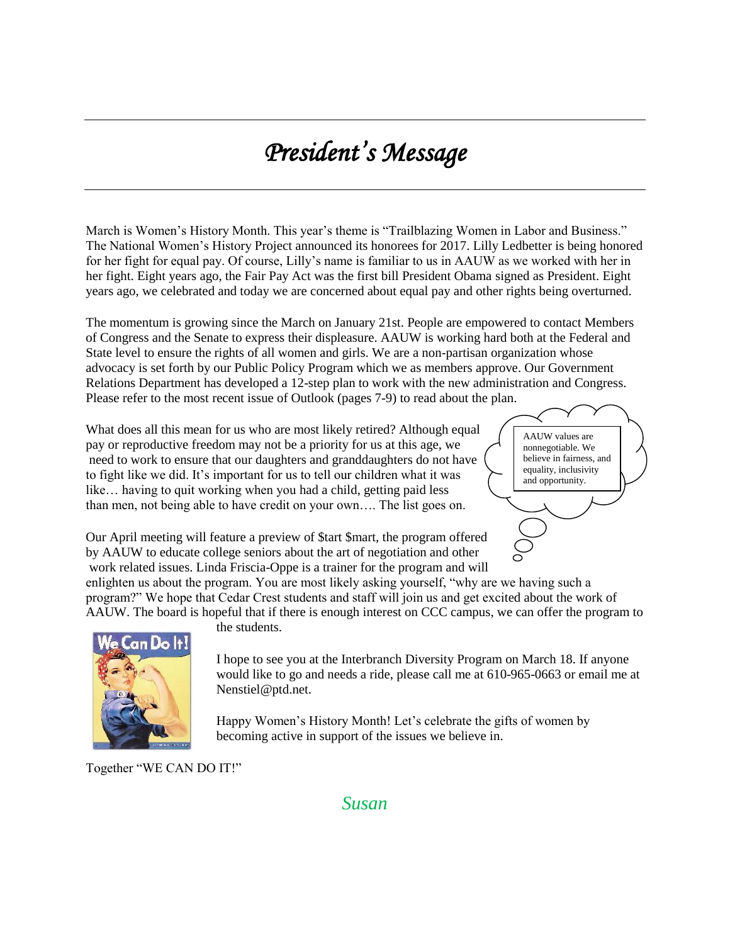# *President's Message*

March is Women's History Month. This year's theme is "Trailblazing Women in Labor and Business." The National Women's History Project announced its honorees for 2017. Lilly Ledbetter is being honored for her fight for equal pay. Of course, Lilly's name is familiar to us in AAUW as we worked with her in her fight. Eight years ago, the Fair Pay Act was the first bill President Obama signed as President. Eight years ago, we celebrated and today we are concerned about equal pay and other rights being overturned.

The momentum is growing since the March on January 21st. People are empowered to contact Members of Congress and the Senate to express their displeasure. AAUW is working hard both at the Federal and State level to ensure the rights of all women and girls. We are a non-partisan organization whose advocacy is set forth by our Public Policy Program which we as members approve. Our Government Relations Department has developed a 12-step plan to work with the new administration and Congress. Please refer to the most recent issue of Outlook (pages 7-9) to read about the plan.

What does all this mean for us who are most likely retired? Although equal pay or reproductive freedom may not be a priority for us at this age, we need to work to ensure that our daughters and granddaughters do not have to fight like we did. It's important for us to tell our children what it was like… having to quit working when you had a child, getting paid less than men, not being able to have credit on your own…. The list goes on.

AAUW values are nonnegotiable. We believe in fairness, and equality, inclusivity and opportunity.

Our April meeting will feature a preview of \$tart \$mart, the program offered by AAUW to educate college seniors about the art of negotiation and other work related issues. Linda Friscia-Oppe is a trainer for the program and will

enlighten us about the program. You are most likely asking yourself, "why are we having such a program?" We hope that Cedar Crest students and staff will join us and get excited about the work of AAUW. The board is hopeful that if there is enough interest on CCC campus, we can offer the program to



the students.

I hope to see you at the Interbranch Diversity Program on March 18. If anyone would like to go and needs a ride, please call me at 610-965-0663 or email me at Nenstiel@ptd.net.

Happy Women's History Month! Let's celebrate the gifts of women by becoming active in support of the issues we believe in.

Together "WE CAN DO IT!"

### *Susan*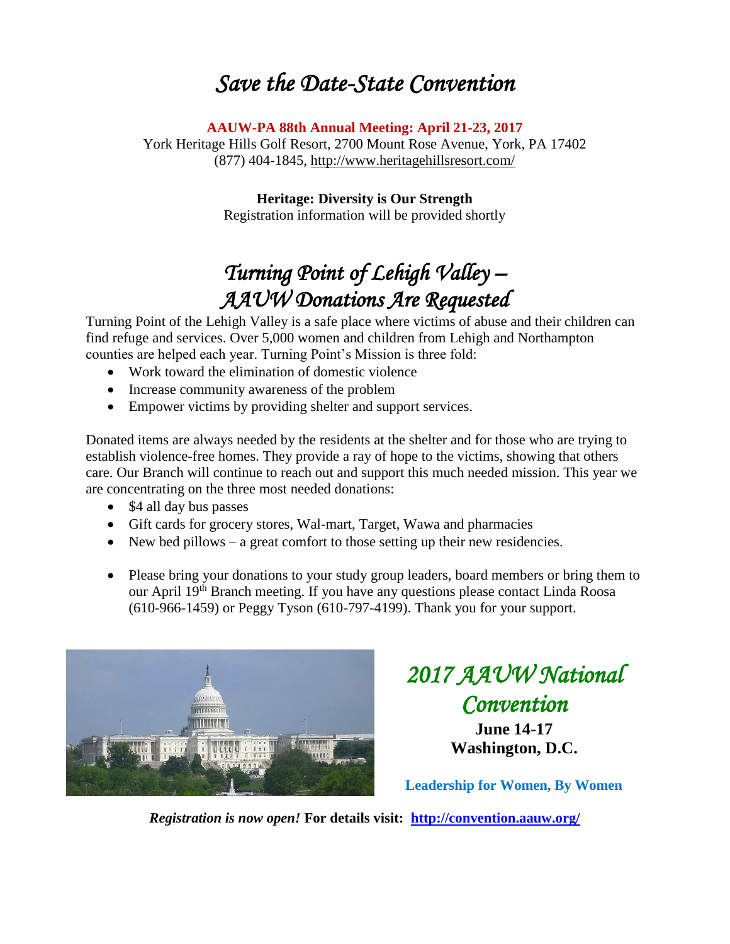## *Save the Date-State Convention*

**AAUW-PA 88th Annual Meeting: April 21-23, 2017**

York Heritage Hills Golf Resort, 2700 Mount Rose Avenue, York, PA 17402 (877) 404-1845, [http://www.heritagehillsresort.com/](https://www.heritagehillsresort.com/)

> **Heritage: Diversity is Our Strength** Registration information will be provided shortly

## *Turning Point of Lehigh Valley – AAUW Donations Are Requested*

Turning Point of the Lehigh Valley is a safe place where victims of abuse and their children can find refuge and services. Over 5,000 women and children from Lehigh and Northampton counties are helped each year. Turning Point's Mission is three fold:

- Work toward the elimination of domestic violence
- Increase community awareness of the problem
- Empower victims by providing shelter and support services.

Donated items are always needed by the residents at the shelter and for those who are trying to establish violence-free homes. They provide a ray of hope to the victims, showing that others care. Our Branch will continue to reach out and support this much needed mission. This year we are concentrating on the three most needed donations:

- \$4 all day bus passes
- Gift cards for grocery stores, Wal-mart, Target, Wawa and pharmacies
- New bed pillows a great comfort to those setting up their new residencies.
- Please bring your donations to your study group leaders, board members or bring them to our April 19th Branch meeting. If you have any questions please contact Linda Roosa (610-966-1459) or Peggy Tyson (610-797-4199). Thank you for your support.



## *2017 AAUW National Convention*  **June 14-17**

**Washington, D.C.**

**Leadership for Women, By Women**

*Registration is now open!* **For details visit: <http://convention.aauw.org/>**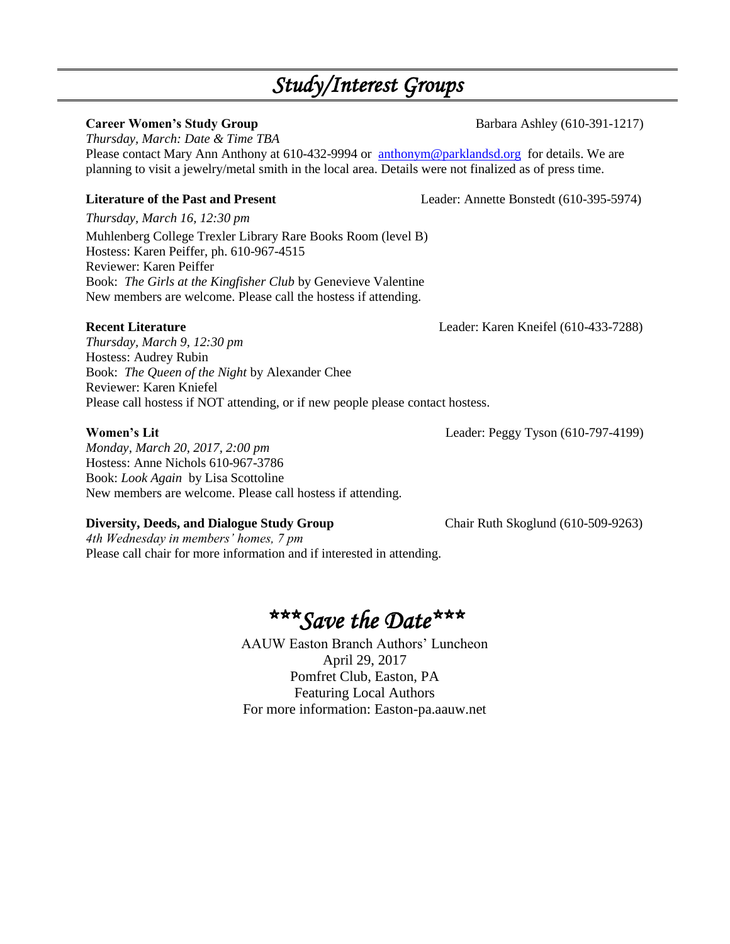## *Study/Interest Groups*

### **Career Women's Study Group** Barbara Ashley (610-391-1217)

*Thursday, March: Date & Time TBA* Please contact Mary Ann Anthony at 610-432-9994 or [anthonym@parklandsd.org](mailto:anthonym@parklandsd.org) for details. We are planning to visit a jewelry/metal smith in the local area. Details were not finalized as of press time.

*Thursday, March 16, 12:30 pm*

Muhlenberg College Trexler Library Rare Books Room (level B) Hostess: Karen Peiffer, ph. 610-967-4515 Reviewer: Karen Peiffer Book: *The Girls at the Kingfisher Club* by Genevieve Valentine New members are welcome. Please call the hostess if attending.

### **Recent Literature** Leader: Karen Kneifel (610-433-7288)

*Thursday, March 9, 12:30 pm* Hostess: Audrey Rubin Book: *The Queen of the Night* by Alexander Chee Reviewer: Karen Kniefel Please call hostess if NOT attending, or if new people please contact hostess.

*Monday, March 20, 2017, 2:00 pm* Hostess: Anne Nichols 610-967-3786 Book: *Look Again* by Lisa Scottoline New members are welcome. Please call hostess if attending.

### **Diversity, Deeds, and Dialogue Study Group**  Chair Ruth Skoglund (610-509-9263)

*4th Wednesday in members' homes, 7 pm*  Please call chair for more information and if interested in attending.

## *\*\*\*Save the Date\*\*\**

AAUW Easton Branch Authors' Luncheon April 29, 2017 Pomfret Club, Easton, PA Featuring Local Authors For more information: Easton-pa.aauw.net

**Literature of the Past and Present** Leader: Annette Bonstedt (610-395-5974)

**Women's Lit** Leader: Peggy Tyson (610-797-4199)